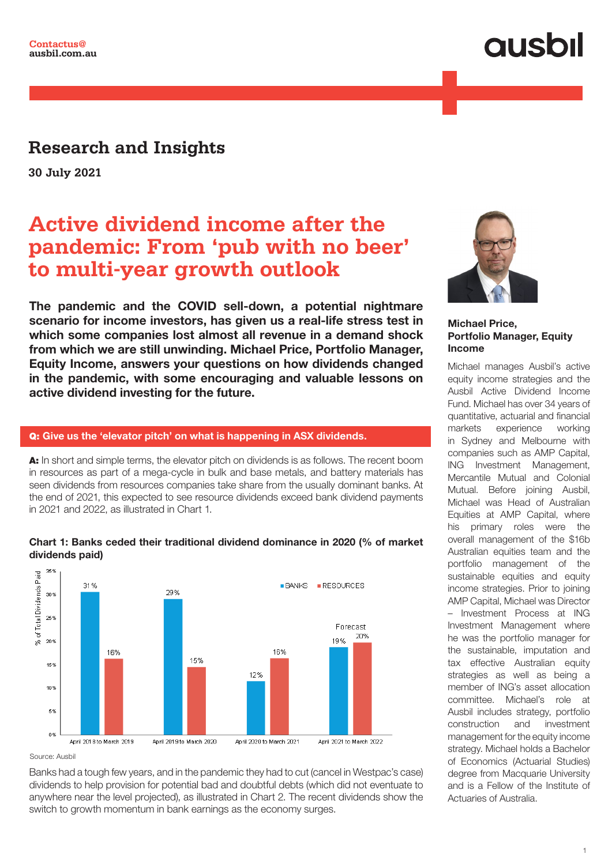## **ausbil**

### **Research and Insights**

**30 July 2021**

### **Active dividend income after the pandemic: From 'pub with no beer' to multi-year growth outlook**

The pandemic and the COVID sell-down, a potential nightmare scenario for income investors, has given us a real-life stress test in which some companies lost almost all revenue in a demand shock from which we are still unwinding. Michael Price, Portfolio Manager, Equity Income, answers your questions on how dividends changed in the pandemic, with some encouraging and valuable lessons on active dividend investing for the future.

#### Q: Give us the 'elevator pitch' on what is happening in ASX dividends.

A: In short and simple terms, the elevator pitch on dividends is as follows. The recent boom in resources as part of a mega-cycle in bulk and base metals, and battery materials has seen dividends from resources companies take share from the usually dominant banks. At the end of 2021, this expected to see resource dividends exceed bank dividend payments in 2021 and 2022, as illustrated in Chart 1.



#### Chart 1: Banks ceded their traditional dividend dominance in 2020 (% of market dividends paid)

#### Source: Ausbil

Banks had a tough few years, and in the pandemic they had to cut (cancel in Westpac's case) dividends to help provision for potential bad and doubtful debts (which did not eventuate to anywhere near the level projected), as illustrated in Chart 2. The recent dividends show the switch to growth momentum in bank earnings as the economy surges.



#### Michael Price, Portfolio Manager, Equity Income

Michael manages Ausbil's active equity income strategies and the Ausbil Active Dividend Income Fund. Michael has over 34 years of quantitative, actuarial and financial markets experience working in Sydney and Melbourne with companies such as AMP Capital, ING Investment Management, Mercantile Mutual and Colonial Mutual. Before joining Ausbil, Michael was Head of Australian Equities at AMP Capital, where his primary roles were the overall management of the \$16b Australian equities team and the portfolio management of the sustainable equities and equity income strategies. Prior to joining AMP Capital, Michael was Director – Investment Process at ING Investment Management where he was the portfolio manager for the sustainable, imputation and tax effective Australian equity strategies as well as being a member of ING's asset allocation committee. Michael's role at Ausbil includes strategy, portfolio construction and investment management for the equity income strategy. Michael holds a Bachelor of Economics (Actuarial Studies) degree from Macquarie University and is a Fellow of the Institute of Actuaries of Australia.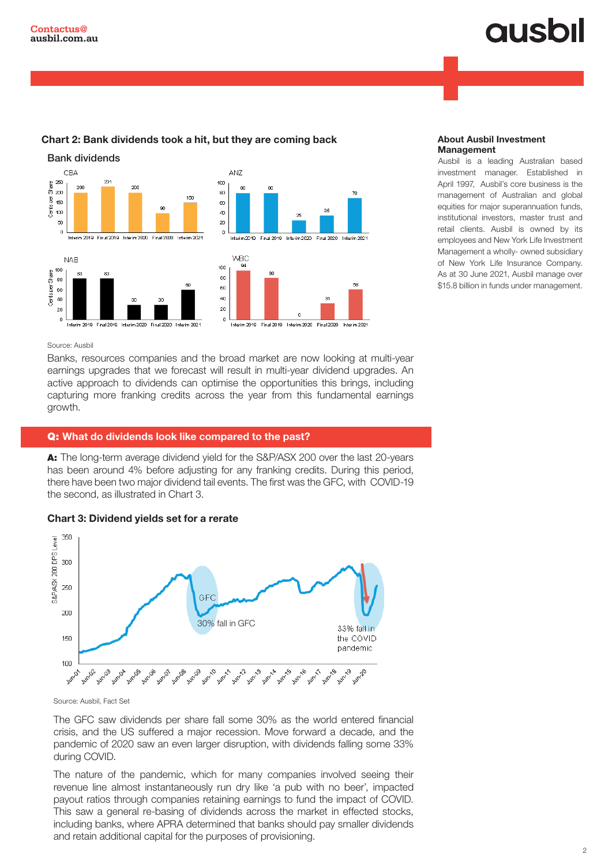# **ausbil**



#### Chart 2: Bank dividends took a hit, but they are coming back

#### About Ausbil Investment Management

Ausbil is a leading Australian based investment manager. Established in April 1997, Ausbil's core business is the management of Australian and global equities for major superannuation funds, institutional investors, master trust and retail clients. Ausbil is owned by its employees and New York Life Investment Management a wholly- owned subsidiary of New York Life Insurance Company. As at 30 June 2021, Ausbil manage over \$15.8 billion in funds under management.

#### Source: Ausbil

Banks, resources companies and the broad market are now looking at multi-year earnings upgrades that we forecast will result in multi-year dividend upgrades. An active approach to dividends can optimise the opportunities this brings, including capturing more franking credits across the year from this fundamental earnings growth.

#### Q: What do dividends look like compared to the past?

A: The long-term average dividend yield for the S&P/ASX 200 over the last 20-years has been around 4% before adjusting for any franking credits. During this period, there have been two major dividend tail events. The first was the GFC, with COVID-19 the second, as illustrated in Chart 3.





Source: Ausbil, Fact Set

The GFC saw dividends per share fall some 30% as the world entered financial crisis, and the US suffered a major recession. Move forward a decade, and the pandemic of 2020 saw an even larger disruption, with dividends falling some 33% during COVID.

The nature of the pandemic, which for many companies involved seeing their revenue line almost instantaneously run dry like 'a pub with no beer', impacted payout ratios through companies retaining earnings to fund the impact of COVID. This saw a general re-basing of dividends across the market in effected stocks, including banks, where APRA determined that banks should pay smaller dividends and retain additional capital for the purposes of provisioning.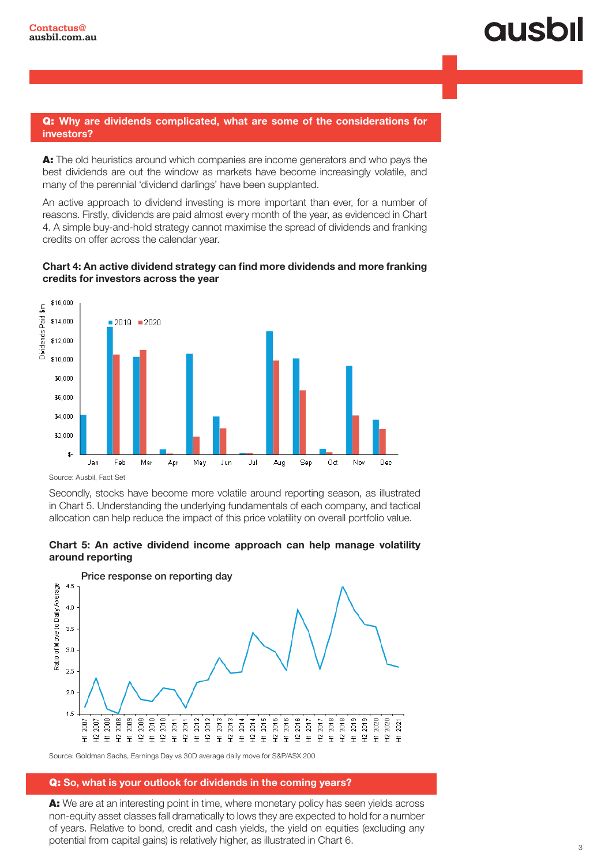#### Q: Why are dividends complicated, what are some of the considerations for investors?

A: The old heuristics around which companies are income generators and who pays the best dividends are out the window as markets have become increasingly volatile, and many of the perennial 'dividend darlings' have been supplanted.

An active approach to dividend investing is more important than ever, for a number of reasons. Firstly, dividends are paid almost every month of the year, as evidenced in Chart 4. A simple buy-and-hold strategy cannot maximise the spread of dividends and franking credits on offer across the calendar year.





Source: Ausbil, Fact Set

Secondly, stocks have become more volatile around reporting season, as illustrated in Chart 5. Understanding the underlying fundamentals of each company, and tactical allocation can help reduce the impact of this price volatility on overall portfolio value.





Source: Goldman Sachs, Earnings Day vs 30D average daily move for S&P/ASX 200

#### Q: So, what is your outlook for dividends in the coming years?

A: We are at an interesting point in time, where monetary policy has seen yields across non-equity asset classes fall dramatically to lows they are expected to hold for a number of years. Relative to bond, credit and cash yields, the yield on equities (excluding any potential from capital gains) is relatively higher, as illustrated in Chart 6.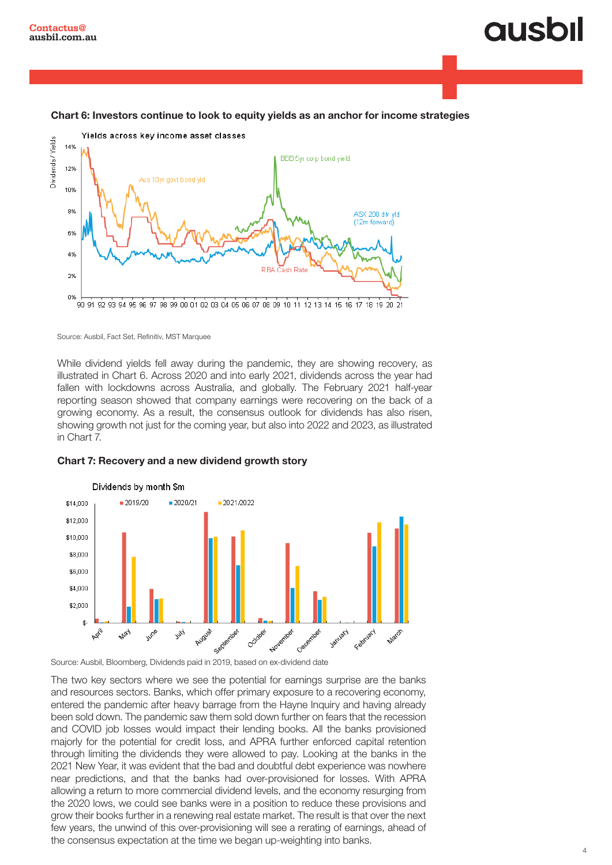## **QUSOI**

#### Chart 6: Investors continue to look to equity yields as an anchor for income strategies



Source: Ausbil, Fact Set, Refinitiv, MST Marquee

While dividend yields fell away during the pandemic, they are showing recovery, as illustrated in Chart 6. Across 2020 and into early 2021, dividends across the year had fallen with lockdowns across Australia, and globally. The February 2021 half-year reporting season showed that company earnings were recovering on the back of a growing economy. As a result, the consensus outlook for dividends has also risen, showing growth not just for the coming year, but also into 2022 and 2023, as illustrated in Chart 7.

#### Chart 7: Recovery and a new dividend growth story



The two key sectors where we see the potential for earnings surprise are the banks and resources sectors. Banks, which offer primary exposure to a recovering economy, entered the pandemic after heavy barrage from the Hayne Inquiry and having already been sold down. The pandemic saw them sold down further on fears that the recession and COVID job losses would impact their lending books. All the banks provisioned majorly for the potential for credit loss, and APRA further enforced capital retention through limiting the dividends they were allowed to pay. Looking at the banks in the 2021 New Year, it was evident that the bad and doubtful debt experience was nowhere near predictions, and that the banks had over-provisioned for losses. With APRA allowing a return to more commercial dividend levels, and the economy resurging from the 2020 lows, we could see banks were in a position to reduce these provisions and grow their books further in a renewing real estate market. The result is that over the next few years, the unwind of this over-provisioning will see a rerating of earnings, ahead of the consensus expectation at the time we began up-weighting into banks.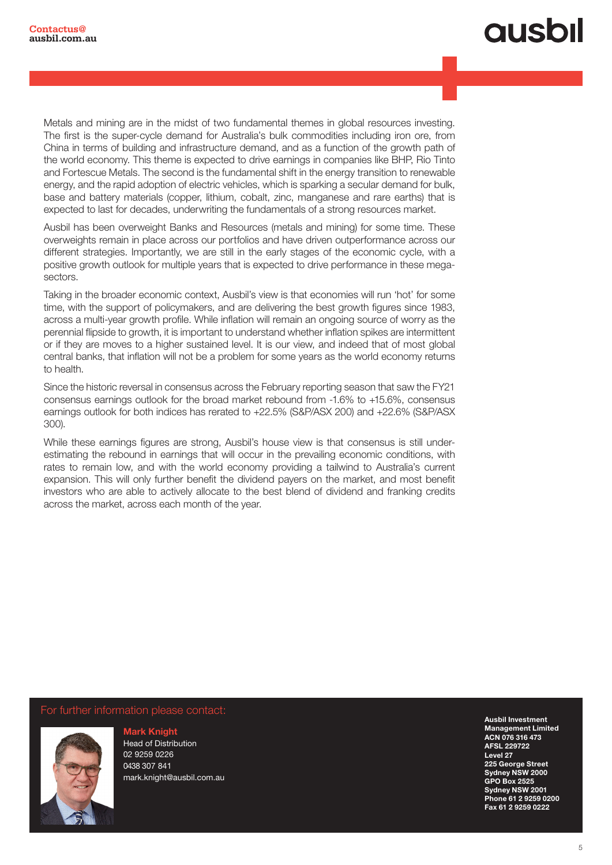## **ausbil**

Metals and mining are in the midst of two fundamental themes in global resources investing. The first is the super-cycle demand for Australia's bulk commodities including iron ore, from China in terms of building and infrastructure demand, and as a function of the growth path of the world economy. This theme is expected to drive earnings in companies like BHP, Rio Tinto and Fortescue Metals. The second is the fundamental shift in the energy transition to renewable energy, and the rapid adoption of electric vehicles, which is sparking a secular demand for bulk, base and battery materials (copper, lithium, cobalt, zinc, manganese and rare earths) that is expected to last for decades, underwriting the fundamentals of a strong resources market.

Ausbil has been overweight Banks and Resources (metals and mining) for some time. These overweights remain in place across our portfolios and have driven outperformance across our different strategies. Importantly, we are still in the early stages of the economic cycle, with a positive growth outlook for multiple years that is expected to drive performance in these megasectors.

Taking in the broader economic context, Ausbil's view is that economies will run 'hot' for some time, with the support of policymakers, and are delivering the best growth figures since 1983, across a multi-year growth profile. While inflation will remain an ongoing source of worry as the perennial flipside to growth, it is important to understand whether inflation spikes are intermittent or if they are moves to a higher sustained level. It is our view, and indeed that of most global central banks, that inflation will not be a problem for some years as the world economy returns to health.

Since the historic reversal in consensus across the February reporting season that saw the FY21 consensus earnings outlook for the broad market rebound from -1.6% to +15.6%, consensus earnings outlook for both indices has rerated to +22.5% (S&P/ASX 200) and +22.6% (S&P/ASX 300).

While these earnings figures are strong, Ausbil's house view is that consensus is still underestimating the rebound in earnings that will occur in the prevailing economic conditions, with rates to remain low, and with the world economy providing a tailwind to Australia's current expansion. This will only further benefit the dividend payers on the market, and most benefit investors who are able to actively allocate to the best blend of dividend and franking credits across the market, across each month of the year.

For further information please contact:



Mark Knight Head of Distribution 02 9259 0226 0438 307 841 mark.knight@ausbil.com.au For further information or to schedule an interview please contact: GPO Box 2525 Ausbil Investment Management Limited ACN 076 316 473 AFSL 229722 Level 27 225 George Street Sydney NSW 2000 Sydney NSW 2001 Phone 61 2 9259 0200 Fax 61 2 9259 0222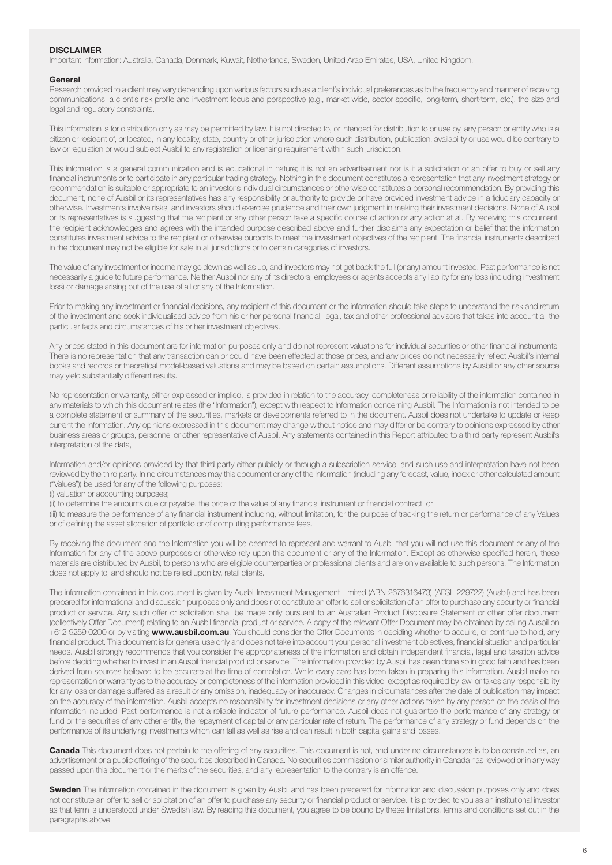#### **DISCLAIMER**

Important Information: Australia, Canada, Denmark, Kuwait, Netherlands, Sweden, United Arab Emirates, USA, United Kingdom.

#### **General**

Research provided to a client may vary depending upon various factors such as a client's individual preferences as to the frequency and manner of receiving communications, a client's risk profile and investment focus and perspective (e.g., market wide, sector specific, long-term, short-term, etc.), the size and legal and regulatory constraints.

This information is for distribution only as may be permitted by law. It is not directed to, or intended for distribution to or use by, any person or entity who is a citizen or resident of, or located, in any locality, state, country or other jurisdiction where such distribution, publication, availability or use would be contrary to law or regulation or would subject Ausbil to any registration or licensing requirement within such jurisdiction.

This information is a general communication and is educational in nature; it is not an advertisement nor is it a solicitation or an offer to buy or sell any financial instruments or to participate in any particular trading strategy. Nothing in this document constitutes a representation that any investment strategy or recommendation is suitable or appropriate to an investor's individual circumstances or otherwise constitutes a personal recommendation. By providing this document, none of Ausbil or its representatives has any responsibility or authority to provide or have provided investment advice in a fiduciary capacity or otherwise. Investments involve risks, and investors should exercise prudence and their own judgment in making their investment decisions. None of Ausbil or its representatives is suggesting that the recipient or any other person take a specific course of action or any action at all. By receiving this document, the recipient acknowledges and agrees with the intended purpose described above and further disclaims any expectation or belief that the information constitutes investment advice to the recipient or otherwise purports to meet the investment objectives of the recipient. The financial instruments described in the document may not be eligible for sale in all jurisdictions or to certain categories of investors.

The value of any investment or income may go down as well as up, and investors may not get back the full (or any) amount invested. Past performance is not necessarily a guide to future performance. Neither Ausbil nor any of its directors, employees or agents accepts any liability for any loss (including investment loss) or damage arising out of the use of all or any of the Information.

Prior to making any investment or financial decisions, any recipient of this document or the information should take steps to understand the risk and return of the investment and seek individualised advice from his or her personal financial, legal, tax and other professional advisors that takes into account all the particular facts and circumstances of his or her investment objectives.

Any prices stated in this document are for information purposes only and do not represent valuations for individual securities or other financial instruments. There is no representation that any transaction can or could have been effected at those prices, and any prices do not necessarily reflect Ausbil's internal books and records or theoretical model-based valuations and may be based on certain assumptions. Different assumptions by Ausbil or any other source may yield substantially different results.

No representation or warranty, either expressed or implied, is provided in relation to the accuracy, completeness or reliability of the information contained in any materials to which this document relates (the "Information"), except with respect to Information concerning Ausbil. The Information is not intended to be a complete statement or summary of the securities, markets or developments referred to in the document. Ausbil does not undertake to update or keep current the Information. Any opinions expressed in this document may change without notice and may differ or be contrary to opinions expressed by other business areas or groups, personnel or other representative of Ausbil. Any statements contained in this Report attributed to a third party represent Ausbil's interpretation of the data,

Information and/or opinions provided by that third party either publicly or through a subscription service, and such use and interpretation have not been reviewed by the third party. In no circumstances may this document or any of the Information (including any forecast, value, index or other calculated amount ("Values")) be used for any of the following purposes:

(i) valuation or accounting purposes;

(ii) to determine the amounts due or payable, the price or the value of any financial instrument or financial contract; or

(iii) to measure the performance of any financial instrument including, without limitation, for the purpose of tracking the return or performance of any Values or of defining the asset allocation of portfolio or of computing performance fees.

By receiving this document and the Information you will be deemed to represent and warrant to Ausbil that you will not use this document or any of the Information for any of the above purposes or otherwise rely upon this document or any of the Information. Except as otherwise specified herein, these materials are distributed by Ausbil, to persons who are eligible counterparties or professional clients and are only available to such persons. The Information does not apply to, and should not be relied upon by, retail clients.

The information contained in this document is given by Ausbil Investment Management Limited (ABN 2676316473) (AFSL 229722) (Ausbil) and has been prepared for informational and discussion purposes only and does not constitute an offer to sell or solicitation of an offer to purchase any security or financial product or service. Any such offer or solicitation shall be made only pursuant to an Australian Product Disclosure Statement or other offer document (collectively Offer Document) relating to an Ausbil financial product or service. A copy of the relevant Offer Document may be obtained by calling Ausbil on +612 9259 0200 or by visiting www.ausbil.com.au. You should consider the Offer Documents in deciding whether to acquire, or continue to hold, any financial product. This document is for general use only and does not take into account your personal investment objectives, financial situation and particular needs. Ausbil strongly recommends that you consider the appropriateness of the information and obtain independent financial, legal and taxation advice before deciding whether to invest in an Ausbil financial product or service. The information provided by Ausbil has been done so in good faith and has been derived from sources believed to be accurate at the time of completion. While every care has been taken in preparing this information. Ausbil make no representation or warranty as to the accuracy or completeness of the information provided in this video, except as required by law, or takes any responsibility for any loss or damage suffered as a result or any omission, inadequacy or inaccuracy. Changes in circumstances after the date of publication may impact on the accuracy of the information. Ausbil accepts no responsibility for investment decisions or any other actions taken by any person on the basis of the information included. Past performance is not a reliable indicator of future performance. Ausbil does not guarantee the performance of any strategy or fund or the securities of any other entity, the repayment of capital or any particular rate of return. The performance of any strategy or fund depends on the performance of its underlying investments which can fall as well as rise and can result in both capital gains and losses.

Canada This document does not pertain to the offering of any securities. This document is not, and under no circumstances is to be construed as, an advertisement or a public offering of the securities described in Canada. No securities commission or similar authority in Canada has reviewed or in any way passed upon this document or the merits of the securities, and any representation to the contrary is an offence.

Sweden The information contained in the document is given by Ausbil and has been prepared for information and discussion purposes only and does not constitute an offer to sell or solicitation of an offer to purchase any security or financial product or service. It is provided to you as an institutional investor as that term is understood under Swedish law. By reading this document, you agree to be bound by these limitations, terms and conditions set out in the paragraphs above.